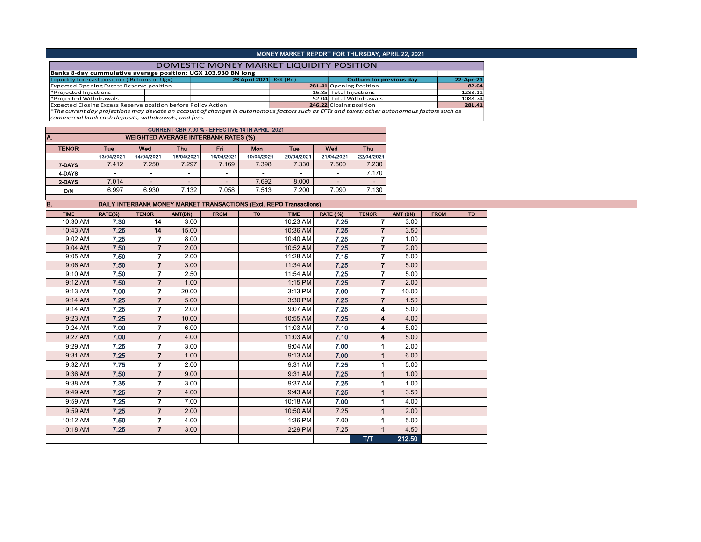|                                                                                                                                                                                                                |            |                         |                          |                                                                     |                        | MONEY MARKET REPORT FOR THURSDAY, APRIL 22, 2021 |                          |                                 |          |             |            |
|----------------------------------------------------------------------------------------------------------------------------------------------------------------------------------------------------------------|------------|-------------------------|--------------------------|---------------------------------------------------------------------|------------------------|--------------------------------------------------|--------------------------|---------------------------------|----------|-------------|------------|
|                                                                                                                                                                                                                |            |                         |                          | DOMESTIC MONEY MARKET LIQUIDITY POSITION                            |                        |                                                  |                          |                                 |          |             |            |
| Banks 8-day cummulative average position: UGX 103.930 BN long                                                                                                                                                  |            |                         |                          |                                                                     |                        |                                                  |                          |                                 |          |             |            |
| Liquidity forecast position (Billions of Ugx)                                                                                                                                                                  |            |                         |                          |                                                                     | 23 April 2021 UGX (Bn) |                                                  |                          | <b>Outturn for previous day</b> |          |             | 22-Apr-21  |
| <b>Expected Opening Excess Reserve position</b>                                                                                                                                                                |            |                         |                          |                                                                     |                        |                                                  | 281.41 Opening Position  |                                 |          |             | 82.04      |
| *Projected Injections                                                                                                                                                                                          |            |                         |                          |                                                                     |                        |                                                  | 16.85 Total Injections   |                                 |          |             | 1288.11    |
| *Projected Withdrawals                                                                                                                                                                                         |            |                         |                          |                                                                     |                        |                                                  | -52.04 Total Withdrawals |                                 |          |             | $-1088.74$ |
| Expected Closing Excess Reserve position before Policy Action<br>*The current day projections may deviate on account of changes in autonomous factors such as EFTs and taxes; other autonomous factors such as |            |                         |                          |                                                                     |                        |                                                  | 246.22 Closing position  |                                 |          |             | 281.41     |
| commercial bank cash deposits, withdrawals, and fees.                                                                                                                                                          |            |                         |                          |                                                                     |                        |                                                  |                          |                                 |          |             |            |
|                                                                                                                                                                                                                |            |                         |                          |                                                                     |                        |                                                  |                          |                                 |          |             |            |
|                                                                                                                                                                                                                |            |                         |                          | CURRENT CBR 7.00 % - EFFECTIVE 14TH APRIL 2021                      |                        |                                                  |                          |                                 |          |             |            |
| A.                                                                                                                                                                                                             |            |                         |                          | <b>WEIGHTED AVERAGE INTERBANK RATES (%)</b>                         |                        |                                                  |                          |                                 |          |             |            |
| <b>TENOR</b>                                                                                                                                                                                                   | Tue        | Wed                     | <b>Thu</b>               | Fri                                                                 | Mon                    | Tue                                              | Wed                      | <b>Thu</b>                      |          |             |            |
|                                                                                                                                                                                                                | 13/04/2021 | 14/04/2021              | 15/04/2021               | 16/04/2021                                                          | 19/04/2021             | 20/04/2021                                       | 21/04/2021               | 22/04/2021                      |          |             |            |
| 7-DAYS                                                                                                                                                                                                         | 7.412      | 7.250                   | 7.297                    | 7.169                                                               | 7.398                  | 7.330                                            | 7.500                    | 7.230                           |          |             |            |
| 4-DAYS                                                                                                                                                                                                         | ÷.         | $\sim$                  | $\sim$                   | $\omega$                                                            | $\mathcal{L}$          | $\mathcal{L}^{\mathcal{A}}$                      | $\omega$                 | 7.170                           |          |             |            |
|                                                                                                                                                                                                                | 7.014      | $\mathcal{L}^{\pm}$     | $\overline{\phantom{a}}$ | $\overline{a}$                                                      | 7.692                  | 8.000                                            | $\overline{\phantom{a}}$ | $\mathcal{L}^{\mathcal{L}}$     |          |             |            |
| 2-DAYS                                                                                                                                                                                                         |            |                         |                          |                                                                     |                        |                                                  |                          |                                 |          |             |            |
| O/N                                                                                                                                                                                                            | 6.997      | 6.930                   | 7.132                    | 7.058                                                               | 7.513                  | 7.200                                            | 7.090                    | 7.130                           |          |             |            |
| B.                                                                                                                                                                                                             |            |                         |                          | DAILY INTERBANK MONEY MARKET TRANSACTIONS (Excl. REPO Transactions) |                        |                                                  |                          |                                 |          |             |            |
| <b>TIME</b>                                                                                                                                                                                                    | RATE(%)    | <b>TENOR</b>            | AMT(BN)                  | <b>FROM</b>                                                         | <b>TO</b>              | <b>TIME</b>                                      | <b>RATE (%)</b>          | <b>TENOR</b>                    | AMT (BN) | <b>FROM</b> | <b>TO</b>  |
| 10:30 AM                                                                                                                                                                                                       | 7.30       | 14                      | 3.00                     |                                                                     |                        | 10:23 AM                                         | 7.25                     | 7                               | 3.00     |             |            |
|                                                                                                                                                                                                                |            |                         |                          |                                                                     |                        |                                                  |                          | $\overline{7}$                  |          |             |            |
| 10:43 AM                                                                                                                                                                                                       | 7.25       | 14                      | 15.00                    |                                                                     |                        | 10:36 AM                                         | 7.25                     |                                 | 3.50     |             |            |
| 9:02 AM                                                                                                                                                                                                        | 7.25       | $\overline{\mathbf{r}}$ | 8.00                     |                                                                     |                        | 10:40 AM                                         | 7.25                     | $\overline{7}$                  | 1.00     |             |            |
| 9:04 AM                                                                                                                                                                                                        | 7.50       | $\overline{7}$          | 2.00                     |                                                                     |                        | 10:52 AM                                         | 7.25                     | $\overline{7}$                  | 2.00     |             |            |
| 9:05 AM                                                                                                                                                                                                        | 7.50       | $\overline{7}$          | 2.00                     |                                                                     |                        | 11:28 AM                                         | 7.15                     | $\overline{7}$                  | 5.00     |             |            |
| 9:06 AM                                                                                                                                                                                                        | 7.50       | $\overline{7}$          | 3.00                     |                                                                     |                        | 11:34 AM                                         | 7.25                     | $\overline{7}$                  | 5.00     |             |            |
| 9:10 AM                                                                                                                                                                                                        | 7.50       | $\overline{7}$          | 2.50                     |                                                                     |                        | 11:54 AM                                         | 7.25                     | $\overline{7}$                  | 5.00     |             |            |
| 9:12 AM                                                                                                                                                                                                        | 7.50       | $\boldsymbol{7}$        | 1.00                     |                                                                     |                        | 1:15 PM                                          | 7.25                     | $\overline{7}$                  | 2.00     |             |            |
| 9:13 AM                                                                                                                                                                                                        | 7.00       | $\overline{7}$          | 20.00                    |                                                                     |                        | 3:13 PM                                          | 7.00                     | $\overline{7}$                  | 10.00    |             |            |
| 9:14 AM                                                                                                                                                                                                        | 7.25       | $\overline{7}$          | 5.00                     |                                                                     |                        | 3:30 PM                                          | 7.25                     | $\overline{7}$                  | 1.50     |             |            |
|                                                                                                                                                                                                                |            |                         |                          |                                                                     |                        |                                                  |                          |                                 |          |             |            |
| 9:14 AM                                                                                                                                                                                                        | 7.25       | $\overline{7}$          | 2.00                     |                                                                     |                        | 9:07 AM                                          | 7.25                     | 4                               | 5.00     |             |            |
| 9:23 AM                                                                                                                                                                                                        | 7.25       | $\overline{7}$          | 10.00                    |                                                                     |                        | 10:55 AM                                         | 7.25                     | 4                               | 4.00     |             |            |
| 9:24 AM                                                                                                                                                                                                        | 7.00       | $\overline{7}$          | 6.00                     |                                                                     |                        | 11:03 AM                                         | 7.10                     | 4                               | 5.00     |             |            |
| 9:27 AM                                                                                                                                                                                                        | 7.00       | $\overline{\mathbf{7}}$ | 4.00                     |                                                                     |                        | 11:03 AM                                         | 7.10                     |                                 | 5.00     |             |            |
| 9:29 AM                                                                                                                                                                                                        | 7.25       | $\overline{7}$          | 3.00                     |                                                                     |                        | 9:04 AM                                          | 7.00                     | 1                               | 2.00     |             |            |
|                                                                                                                                                                                                                | 7.25       |                         |                          |                                                                     |                        |                                                  | 7.00                     |                                 |          |             |            |
| 9:31 AM                                                                                                                                                                                                        |            | $\overline{7}$          | 1.00                     |                                                                     |                        | 9:13 AM                                          |                          | $\mathbf{1}$                    | 6.00     |             |            |
| 9:32 AM                                                                                                                                                                                                        | 7.75       | $\overline{7}$          | 2.00                     |                                                                     |                        | 9:31 AM                                          | 7.25                     | 1                               | 5.00     |             |            |
| 9:36 AM                                                                                                                                                                                                        | 7.50       | $\overline{7}$          | 9.00                     |                                                                     |                        | 9:31 AM                                          | 7.25                     | $\overline{1}$                  | 1.00     |             |            |
| 9:38 AM                                                                                                                                                                                                        | 7.35       | $\overline{7}$          | 3.00                     |                                                                     |                        | 9:37 AM                                          | 7.25                     | 1                               | 1.00     |             |            |
| 9:49 AM                                                                                                                                                                                                        | 7.25       | $\overline{7}$          | 4.00                     |                                                                     |                        | 9:43 AM                                          | 7.25                     | 1                               | 3.50     |             |            |
| 9:59 AM                                                                                                                                                                                                        | 7.25       | $\overline{7}$          | 7.00                     |                                                                     |                        | 10:18 AM                                         | 7.00                     | 1                               | 4.00     |             |            |
| 9:59 AM                                                                                                                                                                                                        | 7.25       | $\overline{7}$          | 2.00                     |                                                                     |                        | 10:50 AM                                         | 7.25                     | $\overline{1}$                  | 2.00     |             |            |
| 10:12 AM                                                                                                                                                                                                       | 7.50       | $\overline{7}$          | 4.00                     |                                                                     |                        | 1:36 PM                                          | 7.00                     | 1                               | 5.00     |             |            |
|                                                                                                                                                                                                                | 7.25       |                         |                          |                                                                     |                        |                                                  | 7.25                     | $\overline{1}$                  |          |             |            |
| 10:18 AM                                                                                                                                                                                                       |            | $\overline{7}$          | 3.00                     |                                                                     |                        | 2:29 PM                                          |                          |                                 | 4.50     |             |            |
|                                                                                                                                                                                                                |            |                         |                          |                                                                     |                        |                                                  |                          | T/T                             | 212.50   |             |            |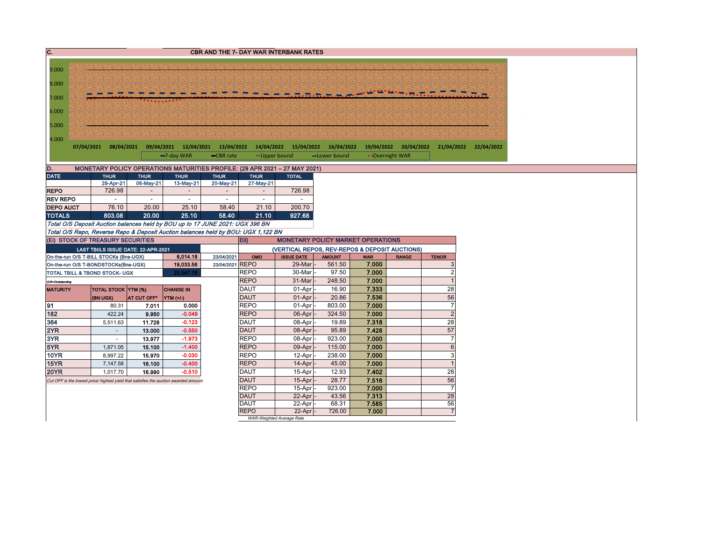| C.               |                                                                                      |             |                                                                   |                 |                            | <b>CBR AND THE 7- DAY WAR INTERBANK RATES</b>  |                |                |                                             |                      |  |
|------------------|--------------------------------------------------------------------------------------|-------------|-------------------------------------------------------------------|-----------------|----------------------------|------------------------------------------------|----------------|----------------|---------------------------------------------|----------------------|--|
|                  |                                                                                      |             |                                                                   |                 |                            |                                                |                |                |                                             |                      |  |
| 9.000            |                                                                                      |             |                                                                   |                 |                            |                                                |                |                |                                             |                      |  |
| 8.000            |                                                                                      |             |                                                                   |                 |                            |                                                |                |                |                                             |                      |  |
| 7.000            |                                                                                      |             |                                                                   |                 |                            |                                                |                |                |                                             |                      |  |
| 6.000            |                                                                                      |             |                                                                   |                 |                            |                                                |                |                |                                             |                      |  |
| 5.000            |                                                                                      |             |                                                                   |                 |                            |                                                |                |                |                                             |                      |  |
|                  |                                                                                      |             |                                                                   |                 |                            |                                                |                |                |                                             |                      |  |
| 4.000            | 07/04/2021 08/04/2021                                                                |             | 09/04/2021 12/04/2021 13/04/2022 14/04/2022 15/04/2022 16/04/2022 |                 |                            |                                                |                |                | 19/04/2022 20/04/2022 21/04/2022 22/04/2022 |                      |  |
|                  |                                                                                      |             | -7-day WAR                                                        | -CBR rate       |                            | -Upper bound                                   | -Lower bound   |                | • Overnight WAR                             |                      |  |
| D.               | MONETARY POLICY OPERATIONS MATURITIES PROFILE: (29 APR 2021 - 27 MAY 2021)           |             |                                                                   |                 |                            |                                                |                |                |                                             |                      |  |
| <b>DATE</b>      | <b>THUR</b>                                                                          | <b>THUR</b> | <b>THUR</b>                                                       | <b>THUR</b>     | <b>THUR</b>                | <b>TOTAL</b>                                   |                |                |                                             |                      |  |
|                  | 29-Apr-21                                                                            | 06-May-21   | 13-May-21                                                         | 20-May-21       | 27-May-21                  |                                                |                |                |                                             |                      |  |
| <b>REPO</b>      | 726.98                                                                               |             |                                                                   |                 |                            | 726.98                                         |                |                |                                             |                      |  |
| <b>REV REPO</b>  |                                                                                      |             | $\blacksquare$                                                    | $\overline{a}$  |                            |                                                |                |                |                                             |                      |  |
| <b>DEPO AUCT</b> | 76.10                                                                                | 20.00       | 25.10                                                             | 58.40           | 21.10                      | 200.70                                         |                |                |                                             |                      |  |
| <b>TOTALS</b>    | 803.08                                                                               | 20.00       | 25.10                                                             | 58.40           | 21.10                      | 927.68                                         |                |                |                                             |                      |  |
|                  | Total O/S Deposit Auction balances held by BOU up to 17 JUNE 2021: UGX 396 BN        |             |                                                                   |                 |                            |                                                |                |                |                                             |                      |  |
|                  | Total O/S Repo, Reverse Repo & Deposit Auction balances held by BOU: UGX 1.122 BN    |             |                                                                   |                 |                            |                                                |                |                |                                             |                      |  |
|                  | (Ei) STOCK OF TREASURY SECURITIES                                                    |             |                                                                   |                 | Eii)                       | <b>MONETARY POLICY MARKET OPERATIONS</b>       |                |                |                                             |                      |  |
|                  | LAST TBIILS ISSUE DATE: 22-APR-2021                                                  |             |                                                                   |                 |                            | (VERTICAL REPOS, REV-REPOS & DEPOSIT AUCTIONS) |                |                |                                             |                      |  |
|                  | On-the-run O/S T-BILL STOCKs (Bns-UGX)                                               |             | 6,014.18                                                          | 23/04/2021      | OMO                        | <b>ISSUE DATE</b>                              | <b>AMOUNT</b>  | <b>WAR</b>     | <b>RANGE</b>                                | <b>TENOR</b>         |  |
|                  | On-the-run O/S T-BONDSTOCKs(Bns-UGX)                                                 |             | 19,033.56                                                         | 23/04/2021 REPO |                            | 29-Mar                                         | 561.50         | 7.000          |                                             | 3                    |  |
|                  | TOTAL TBILL & TBOND STOCK- UGX                                                       |             | 25,047.75                                                         |                 | <b>REPO</b>                | 30-Mar                                         | 97.50          | 7.000          |                                             | $\overline{2}$       |  |
| O/S=Outstanding  |                                                                                      |             |                                                                   |                 | <b>REPO</b>                | 31-Mar                                         | 248.50         | 7.000          |                                             | $\overline{1}$       |  |
| <b>MATURITY</b>  | TOTAL STOCK YTM (%)                                                                  |             | <b>CHANGE IN</b>                                                  |                 | <b>DAUT</b>                | 01-Apr                                         | 16.90          | 7.333          |                                             | 28                   |  |
|                  | (BN UGX)                                                                             | AT CUT OFF* | $\Upsilon$ TM $(+/-)$                                             |                 | <b>DAUT</b>                | $01-Apr$                                       | 20.86          | 7.536          |                                             | 56                   |  |
| 91               | 80.31                                                                                | 7.011       | 0.000                                                             |                 | <b>REPO</b>                | 01-Apr                                         | 803.00         | 7.000          |                                             | $\overline{7}$       |  |
| 182              | 422.24                                                                               | 9.950       | $-0.049$                                                          |                 | <b>REPO</b>                | 06-Apr                                         | 324.50         | 7.000          |                                             | $\overline{2}$       |  |
| 364              | 5,511.63                                                                             | 11.728      | $-0.123$                                                          |                 | DAUT                       | 08-Apr                                         | 19.89          | 7.318          |                                             | 28                   |  |
| 2YR              | $\sim$                                                                               | 13.000      | $-0.550$                                                          |                 | <b>DAUT</b>                | 08-Apr                                         | 95.89          | 7.428          |                                             | 57                   |  |
| 3YR              | ×.                                                                                   | 13.977      | $-1.973$                                                          |                 | <b>REPO</b>                | 08-Apr                                         | 923.00         | 7.000          |                                             | $\overline{7}$       |  |
| 5YR              | 1,871.05                                                                             | 15.100      | $-1.400$                                                          |                 | <b>REPO</b>                | 09-Apr                                         | 115.00         | 7.000          |                                             | 6                    |  |
| <b>10YR</b>      | 8,997.22                                                                             | 15.970      | $-0.030$                                                          |                 | <b>REPO</b>                | 12-Apr                                         | 238.00         | 7.000          |                                             | 3                    |  |
| <b>15YR</b>      | 7,147.58                                                                             | 16.100      | $-0.400$                                                          |                 | <b>REPO</b>                | 14-Apr                                         | 45.00          | 7.000          |                                             | $\overline{1}$       |  |
| <b>20YR</b>      | 1,017.70                                                                             | 16.990      | $-0.510$                                                          |                 | DAUT                       | 15-Apr                                         | 12.93          | 7.402          |                                             | 28                   |  |
|                  | Cut OFF is the lowest price/ highest yield that satisfies the auction awarded amount |             |                                                                   |                 | <b>DAUT</b>                | 15-Apr                                         | 28.77          | 7.516          |                                             | 56                   |  |
|                  |                                                                                      |             |                                                                   |                 | <b>REPO</b>                | 15-Apr                                         | 923.00         | 7.000<br>7.313 |                                             | $\overline{7}$<br>28 |  |
|                  |                                                                                      |             |                                                                   |                 | <b>DAUT</b><br><b>DAUT</b> | 22-Apr<br>22-Apr                               | 43.56<br>68.31 | 7.585          |                                             | 56                   |  |
|                  |                                                                                      |             |                                                                   |                 | <b>REPO</b>                | 22-Apr                                         | 726.00         | 7.000          |                                             | $\overline{7}$       |  |
|                  |                                                                                      |             |                                                                   |                 |                            | WAR-Weighted Average Rate                      |                |                |                                             |                      |  |
|                  |                                                                                      |             |                                                                   |                 |                            |                                                |                |                |                                             |                      |  |